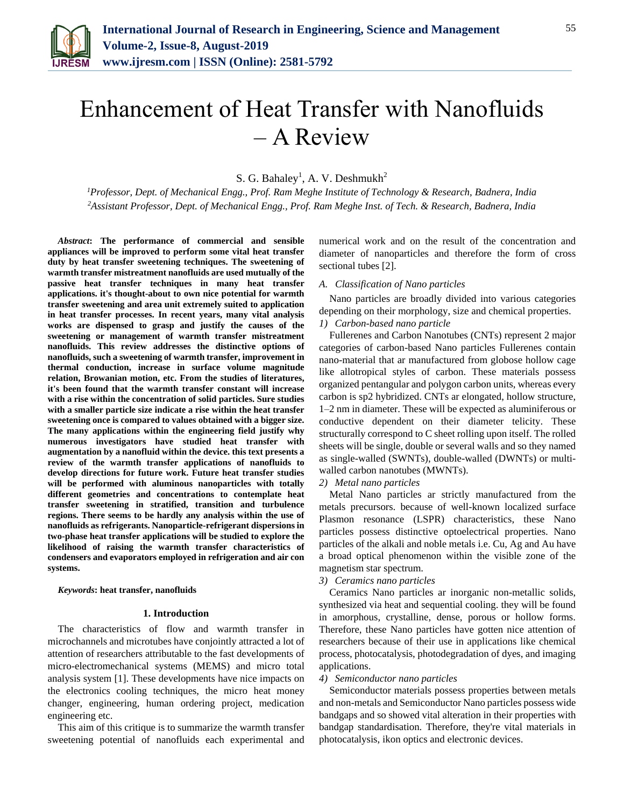

# Enhancement of Heat Transfer with Nanofluids – A Review

S. G. Bahaley<sup>1</sup>, A. V. Deshmukh<sup>2</sup>

*<sup>1</sup>Professor, Dept. of Mechanical Engg., Prof. Ram Meghe Institute of Technology & Research, Badnera, India <sup>2</sup>Assistant Professor, Dept. of Mechanical Engg., Prof. Ram Meghe Inst. of Tech. & Research, Badnera, India*

*Abstract***: The performance of commercial and sensible appliances will be improved to perform some vital heat transfer duty by heat transfer sweetening techniques. The sweetening of warmth transfer mistreatment nanofluids are used mutually of the passive heat transfer techniques in many heat transfer applications. it's thought-about to own nice potential for warmth transfer sweetening and area unit extremely suited to application in heat transfer processes. In recent years, many vital analysis works are dispensed to grasp and justify the causes of the sweetening or management of warmth transfer mistreatment nanofluids. This review addresses the distinctive options of nanofluids, such a sweetening of warmth transfer, improvement in thermal conduction, increase in surface volume magnitude relation, Browanian motion, etc. From the studies of literatures, it's been found that the warmth transfer constant will increase with a rise within the concentration of solid particles. Sure studies with a smaller particle size indicate a rise within the heat transfer sweetening once is compared to values obtained with a bigger size. The many applications within the engineering field justify why numerous investigators have studied heat transfer with augmentation by a nanofluid within the device. this text presents a review of the warmth transfer applications of nanofluids to develop directions for future work. Future heat transfer studies will be performed with aluminous nanoparticles with totally different geometries and concentrations to contemplate heat transfer sweetening in stratified, transition and turbulence regions. There seems to be hardly any analysis within the use of nanofluids as refrigerants. Nanoparticle-refrigerant dispersions in two-phase heat transfer applications will be studied to explore the likelihood of raising the warmth transfer characteristics of condensers and evaporators employed in refrigeration and air con systems.**

*Keywords***: heat transfer, nanofluids**

#### **1. Introduction**

The characteristics of flow and warmth transfer in microchannels and microtubes have conjointly attracted a lot of attention of researchers attributable to the fast developments of micro-electromechanical systems (MEMS) and micro total analysis system [1]. These developments have nice impacts on the electronics cooling techniques, the micro heat money changer, engineering, human ordering project, medication engineering etc.

This aim of this critique is to summarize the warmth transfer sweetening potential of nanofluids each experimental and numerical work and on the result of the concentration and diameter of nanoparticles and therefore the form of cross sectional tubes [2].

## *A. Classification of Nano particles*

Nano particles are broadly divided into various categories depending on their morphology, size and chemical properties. *1) Carbon-based nano particle*

Fullerenes and Carbon Nanotubes (CNTs) represent 2 major categories of carbon-based Nano particles Fullerenes contain nano-material that ar manufactured from globose hollow cage like allotropical styles of carbon. These materials possess organized pentangular and polygon carbon units, whereas every carbon is sp2 hybridized. CNTs ar elongated, hollow structure, 1–2 nm in diameter. These will be expected as aluminiferous or conductive dependent on their diameter telicity. These structurally correspond to C sheet rolling upon itself. The rolled sheets will be single, double or several walls and so they named as single-walled (SWNTs), double-walled (DWNTs) or multiwalled carbon nanotubes (MWNTs).

*2) Metal nano particles*

Metal Nano particles ar strictly manufactured from the metals precursors. because of well-known localized surface Plasmon resonance (LSPR) characteristics, these Nano particles possess distinctive optoelectrical properties. Nano particles of the alkali and noble metals i.e. Cu, Ag and Au have a broad optical phenomenon within the visible zone of the magnetism star spectrum.

#### *3) Ceramics nano particles*

Ceramics Nano particles ar inorganic non-metallic solids, synthesized via heat and sequential cooling. they will be found in amorphous, crystalline, dense, porous or hollow forms. Therefore, these Nano particles have gotten nice attention of researchers because of their use in applications like chemical process, photocatalysis, photodegradation of dyes, and imaging applications.

### *4) Semiconductor nano particles*

Semiconductor materials possess properties between metals and non-metals and Semiconductor Nano particles possess wide bandgaps and so showed vital alteration in their properties with bandgap standardisation. Therefore, they're vital materials in photocatalysis, ikon optics and electronic devices.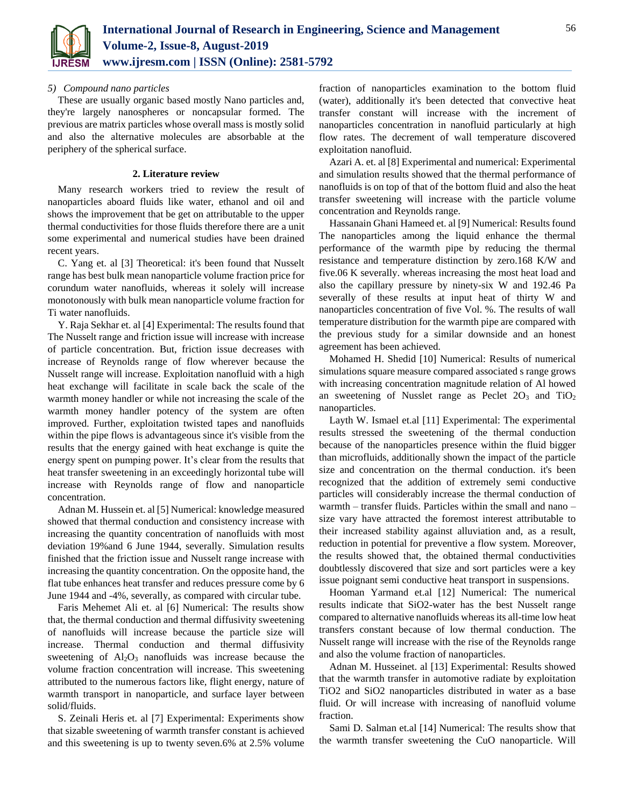

## *5) Compound nano particles*

These are usually organic based mostly Nano particles and, they're largely nanospheres or noncapsular formed. The previous are matrix particles whose overall mass is mostly solid and also the alternative molecules are absorbable at the periphery of the spherical surface.

## **2. Literature review**

Many research workers tried to review the result of nanoparticles aboard fluids like water, ethanol and oil and shows the improvement that be get on attributable to the upper thermal conductivities for those fluids therefore there are a unit some experimental and numerical studies have been drained recent years.

C. Yang et. al [3] Theoretical: it's been found that Nusselt range has best bulk mean nanoparticle volume fraction price for corundum water nanofluids, whereas it solely will increase monotonously with bulk mean nanoparticle volume fraction for Ti water nanofluids.

Y. Raja Sekhar et. al [4] Experimental: The results found that The Nusselt range and friction issue will increase with increase of particle concentration. But, friction issue decreases with increase of Reynolds range of flow wherever because the Nusselt range will increase. Exploitation nanofluid with a high heat exchange will facilitate in scale back the scale of the warmth money handler or while not increasing the scale of the warmth money handler potency of the system are often improved. Further, exploitation twisted tapes and nanofluids within the pipe flows is advantageous since it's visible from the results that the energy gained with heat exchange is quite the energy spent on pumping power. It's clear from the results that heat transfer sweetening in an exceedingly horizontal tube will increase with Reynolds range of flow and nanoparticle concentration.

Adnan M. Hussein et. al [5] Numerical: knowledge measured showed that thermal conduction and consistency increase with increasing the quantity concentration of nanofluids with most deviation 19%and 6 June 1944, severally. Simulation results finished that the friction issue and Nusselt range increase with increasing the quantity concentration. On the opposite hand, the flat tube enhances heat transfer and reduces pressure come by 6 June 1944 and -4%, severally, as compared with circular tube.

Faris Mehemet Ali et. al [6] Numerical: The results show that, the thermal conduction and thermal diffusivity sweetening of nanofluids will increase because the particle size will increase. Thermal conduction and thermal diffusivity sweetening of  $Al_2O_3$  nanofluids was increase because the volume fraction concentration will increase. This sweetening attributed to the numerous factors like, flight energy, nature of warmth transport in nanoparticle, and surface layer between solid/fluids.

S. Zeinali Heris et. al [7] Experimental: Experiments show that sizable sweetening of warmth transfer constant is achieved and this sweetening is up to twenty seven.6% at 2.5% volume

fraction of nanoparticles examination to the bottom fluid (water), additionally it's been detected that convective heat transfer constant will increase with the increment of nanoparticles concentration in nanofluid particularly at high flow rates. The decrement of wall temperature discovered exploitation nanofluid.

Azari A. et. al [8] Experimental and numerical: Experimental and simulation results showed that the thermal performance of nanofluids is on top of that of the bottom fluid and also the heat transfer sweetening will increase with the particle volume concentration and Reynolds range.

Hassanain Ghani Hameed et. al [9] Numerical: Results found The nanoparticles among the liquid enhance the thermal performance of the warmth pipe by reducing the thermal resistance and temperature distinction by zero.168 K/W and five.06 K severally. whereas increasing the most heat load and also the capillary pressure by ninety-six W and 192.46 Pa severally of these results at input heat of thirty W and nanoparticles concentration of five Vol. %. The results of wall temperature distribution for the warmth pipe are compared with the previous study for a similar downside and an honest agreement has been achieved.

Mohamed H. Shedid [10] Numerical: Results of numerical simulations square measure compared associated s range grows with increasing concentration magnitude relation of Al howed an sweetening of Nusslet range as Peclet  $2O_3$  and  $TiO_2$ nanoparticles.

Layth W. Ismael et.al [11] Experimental: The experimental results stressed the sweetening of the thermal conduction because of the nanoparticles presence within the fluid bigger than microfluids, additionally shown the impact of the particle size and concentration on the thermal conduction. it's been recognized that the addition of extremely semi conductive particles will considerably increase the thermal conduction of warmth – transfer fluids. Particles within the small and nano – size vary have attracted the foremost interest attributable to their increased stability against alluviation and, as a result, reduction in potential for preventive a flow system. Moreover, the results showed that, the obtained thermal conductivities doubtlessly discovered that size and sort particles were a key issue poignant semi conductive heat transport in suspensions.

Hooman Yarmand et.al [12] Numerical: The numerical results indicate that SiO2-water has the best Nusselt range compared to alternative nanofluids whereas its all-time low heat transfers constant because of low thermal conduction. The Nusselt range will increase with the rise of the Reynolds range and also the volume fraction of nanoparticles.

Adnan M. Husseinet. al [13] Experimental: Results showed that the warmth transfer in automotive radiate by exploitation TiO2 and SiO2 nanoparticles distributed in water as a base fluid. Or will increase with increasing of nanofluid volume fraction.

Sami D. Salman et.al [14] Numerical: The results show that the warmth transfer sweetening the CuO nanoparticle. Will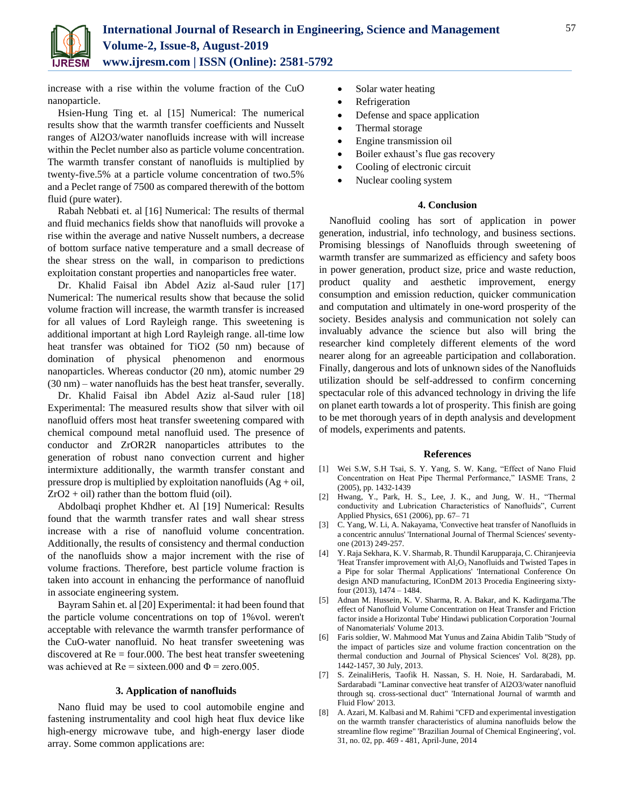

increase with a rise within the volume fraction of the CuO nanoparticle.

Hsien-Hung Ting et. al [15] Numerical: The numerical results show that the warmth transfer coefficients and Nusselt ranges of Al2O3/water nanofluids increase with will increase within the Peclet number also as particle volume concentration. The warmth transfer constant of nanofluids is multiplied by twenty-five.5% at a particle volume concentration of two.5% and a Peclet range of 7500 as compared therewith of the bottom fluid (pure water).

Rabah Nebbati et. al [16] Numerical: The results of thermal and fluid mechanics fields show that nanofluids will provoke a rise within the average and native Nusselt numbers, a decrease of bottom surface native temperature and a small decrease of the shear stress on the wall, in comparison to predictions exploitation constant properties and nanoparticles free water.

Dr. Khalid Faisal ibn Abdel Aziz al-Saud ruler [17] Numerical: The numerical results show that because the solid volume fraction will increase, the warmth transfer is increased for all values of Lord Rayleigh range. This sweetening is additional important at high Lord Rayleigh range. all-time low heat transfer was obtained for TiO2 (50 nm) because of domination of physical phenomenon and enormous nanoparticles. Whereas conductor (20 nm), atomic number 29 (30 nm) – water nanofluids has the best heat transfer, severally.

Dr. Khalid Faisal ibn Abdel Aziz al-Saud ruler [18] Experimental: The measured results show that silver with oil nanofluid offers most heat transfer sweetening compared with chemical compound metal nanofluid used. The presence of conductor and ZrOR2R nanoparticles attributes to the generation of robust nano convection current and higher intermixture additionally, the warmth transfer constant and pressure drop is multiplied by exploitation nanofluids  $(Ag + oil,$  $ZrO2 + oil$ ) rather than the bottom fluid (oil).

Abdolbaqi prophet Khdher et. Al [19] Numerical: Results found that the warmth transfer rates and wall shear stress increase with a rise of nanofluid volume concentration. Additionally, the results of consistency and thermal conduction of the nanofluids show a major increment with the rise of volume fractions. Therefore, best particle volume fraction is taken into account in enhancing the performance of nanofluid in associate engineering system.

Bayram Sahin et. al [20] Experimental: it had been found that the particle volume concentrations on top of 1%vol. weren't acceptable with relevance the warmth transfer performance of the CuO-water nanofluid. No heat transfer sweetening was discovered at  $Re = four.000$ . The best heat transfer sweetening was achieved at  $Re =$  sixteen.000 and  $\Phi =$  zero.005.

### **3. Application of nanofluids**

Nano fluid may be used to cool automobile engine and fastening instrumentality and cool high heat flux device like high-energy microwave tube, and high-energy laser diode array. Some common applications are:

- Solar water heating
- Refrigeration
- Defense and space application
- Thermal storage
- Engine transmission oil
- Boiler exhaust's flue gas recovery
- Cooling of electronic circuit
- Nuclear cooling system

## **4. Conclusion**

Nanofluid cooling has sort of application in power generation, industrial, info technology, and business sections. Promising blessings of Nanofluids through sweetening of warmth transfer are summarized as efficiency and safety boos in power generation, product size, price and waste reduction, product quality and aesthetic improvement, energy consumption and emission reduction, quicker communication and computation and ultimately in one-word prosperity of the society. Besides analysis and communication not solely can invaluably advance the science but also will bring the researcher kind completely different elements of the word nearer along for an agreeable participation and collaboration. Finally, dangerous and lots of unknown sides of the Nanofluids utilization should be self-addressed to confirm concerning spectacular role of this advanced technology in driving the life on planet earth towards a lot of prosperity. This finish are going to be met thorough years of in depth analysis and development of models, experiments and patents.

#### **References**

- [1] Wei S.W, S.H Tsai, S. Y. Yang, S. W. Kang, "Effect of Nano Fluid Concentration on Heat Pipe Thermal Performance," IASME Trans, 2 (2005), pp. 1432-1439
- [2] Hwang, Y., Park, H. S., Lee, J. K., and Jung, W. H., "Thermal conductivity and Lubrication Characteristics of Nanofluids", Current Applied Physics, 6S1 (2006), pp. 67– 71
- [3] C. Yang, W. Li, A. Nakayama, 'Convective heat transfer of Nanofluids in a concentric annulus' 'International Journal of Thermal Sciences' seventyone (2013) 249-257.
- [4] Y. Raja Sekhara, K. V. Sharmab, R. Thundil Karupparaja, C. Chiranjeevia 'Heat Transfer improvement with  $Al_2O_3$  Nanofluids and Twisted Tapes in a Pipe for solar Thermal Applications' 'International Conference On design AND manufacturing, IConDM 2013 Procedia Engineering sixtyfour (2013), 1474 – 1484.
- [5] Adnan M. Hussein, K. V. Sharma, R. A. Bakar, and K. Kadirgama.'The effect of Nanofluid Volume Concentration on Heat Transfer and Friction factor inside a Horizontal Tube' Hindawi publication Corporation 'Journal of Nanomaterials' Volume 2013.
- [6] Faris soldier, W. Mahmood Mat Yunus and Zaina Abidin Talib ''Study of the impact of particles size and volume fraction concentration on the thermal conduction and Journal of Physical Sciences' Vol. 8(28), pp. 1442-1457, 30 July, 2013.
- [7] S. ZeinaliHeris, Taofik H. Nassan, S. H. Noie, H. Sardarabadi, M. Sardarabadi "Laminar convective heat transfer of Al2O3/water nanofluid through sq. cross-sectional duct" 'International Journal of warmth and Fluid Flow' 2013.
- [8] A. Azari, M. Kalbasi and M. Rahimi "CFD and experimental investigation on the warmth transfer characteristics of alumina nanofluids below the streamline flow regime" 'Brazilian Journal of Chemical Engineering', vol. 31, no. 02, pp. 469 - 481, April-June, 2014